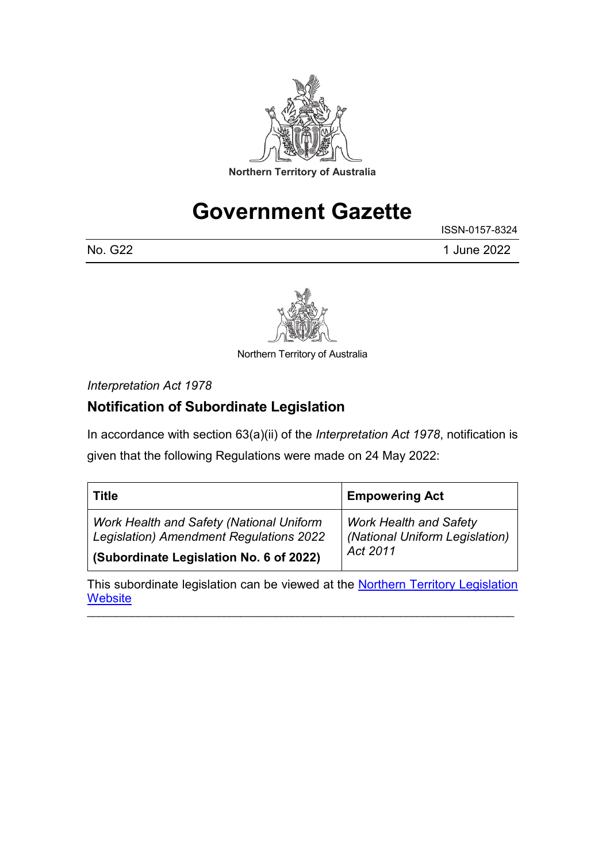

# **Government Gazette**

ISSN-0157-8324 No. G22 1 June 2022



Northern Territory of Australia

*Interpretation Act 1978*

# **Notification of Subordinate Legislation**

In accordance with section 63(a)(ii) of the *Interpretation Act 1978*, notification is given that the following Regulations were made on 24 May 2022:

| Title                                           | <b>Empowering Act</b>          |  |
|-------------------------------------------------|--------------------------------|--|
| <b>Work Health and Safety (National Uniform</b> | <b>Work Health and Safety</b>  |  |
| <b>Legislation) Amendment Regulations 2022</b>  | (National Uniform Legislation) |  |
| (Subordinate Legislation No. 6 of 2022)         | Act 2011                       |  |

This subordinate legislation can be viewed at the **Northern Territory Legislation [Website](https://legislation.nt.gov.au/)** 

\_\_\_\_\_\_\_\_\_\_\_\_\_\_\_\_\_\_\_\_\_\_\_\_\_\_\_\_\_\_\_\_\_\_\_\_\_\_\_\_\_\_\_\_\_\_\_\_\_\_\_\_\_\_\_\_\_\_\_\_\_\_\_\_\_\_\_\_\_\_\_\_\_\_\_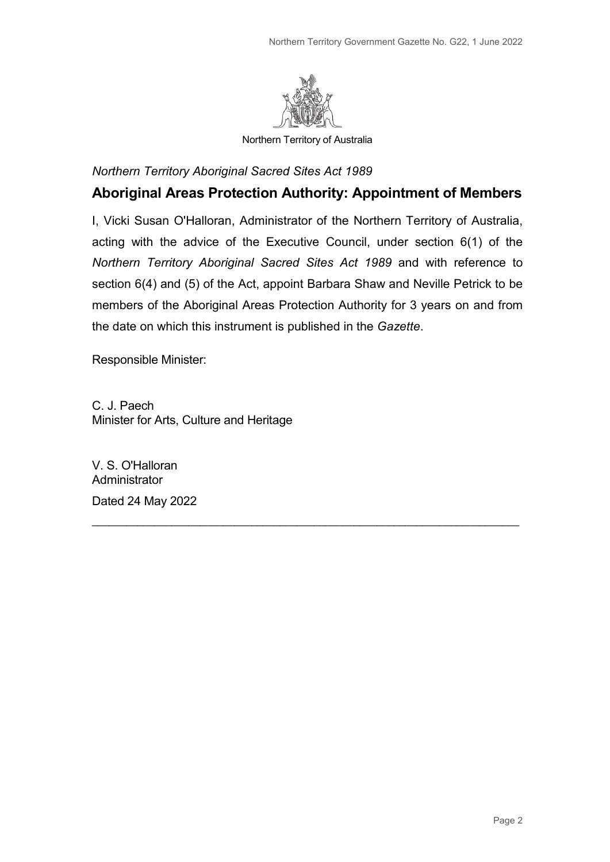

Northern Territory of Australia

*Northern Territory Aboriginal Sacred Sites Act 1989*

## **Aboriginal Areas Protection Authority: Appointment of Members**

I, Vicki Susan O'Halloran, Administrator of the Northern Territory of Australia, acting with the advice of the Executive Council, under section 6(1) of the *Northern Territory Aboriginal Sacred Sites Act 1989* and with reference to section 6(4) and (5) of the Act, appoint Barbara Shaw and Neville Petrick to be members of the Aboriginal Areas Protection Authority for 3 years on and from the date on which this instrument is published in the *Gazette*.

\_\_\_\_\_\_\_\_\_\_\_\_\_\_\_\_\_\_\_\_\_\_\_\_\_\_\_\_\_\_\_\_\_\_\_\_\_\_\_\_\_\_\_\_\_\_\_\_\_\_\_\_\_\_\_\_\_\_\_\_\_\_\_\_\_\_\_\_\_\_\_\_\_\_\_

Responsible Minister:

C. J. Paech Minister for Arts, Culture and Heritage

V. S. O'Halloran **Administrator** Dated 24 May 2022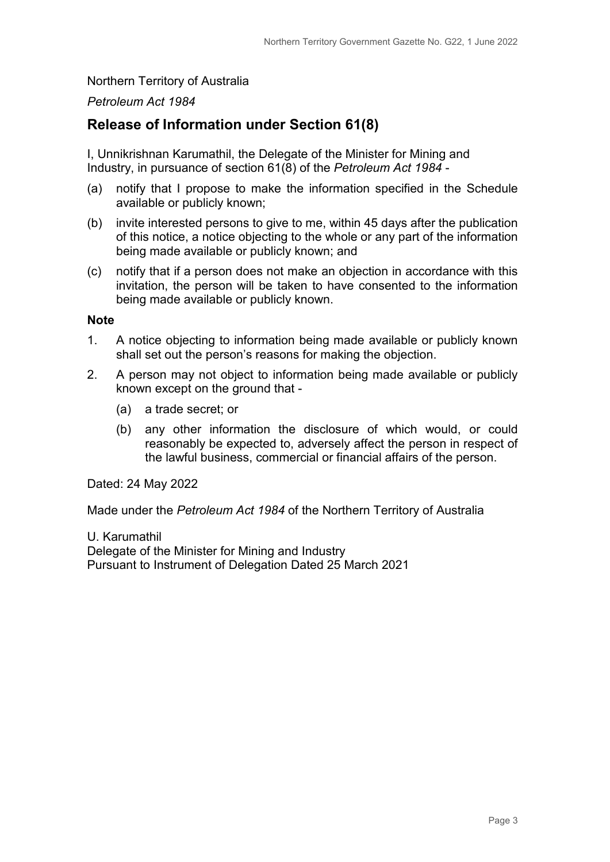#### Northern Territory of Australia

#### *Petroleum Act 1984*

## **Release of Information under Section 61(8)**

I, Unnikrishnan Karumathil, the Delegate of the Minister for Mining and Industry, in pursuance of section 61(8) of the *Petroleum Act 1984* -

- (a) notify that I propose to make the information specified in the Schedule available or publicly known;
- (b) invite interested persons to give to me, within 45 days after the publication of this notice, a notice objecting to the whole or any part of the information being made available or publicly known; and
- (c) notify that if a person does not make an objection in accordance with this invitation, the person will be taken to have consented to the information being made available or publicly known.

#### **Note**

- 1. A notice objecting to information being made available or publicly known shall set out the person's reasons for making the objection.
- 2. A person may not object to information being made available or publicly known except on the ground that -
	- (a) a trade secret; or
	- (b) any other information the disclosure of which would, or could reasonably be expected to, adversely affect the person in respect of the lawful business, commercial or financial affairs of the person.

Dated: 24 May 2022

Made under the *Petroleum Act 1984* of the Northern Territory of Australia

U. Karumathil Delegate of the Minister for Mining and Industry Pursuant to Instrument of Delegation Dated 25 March 2021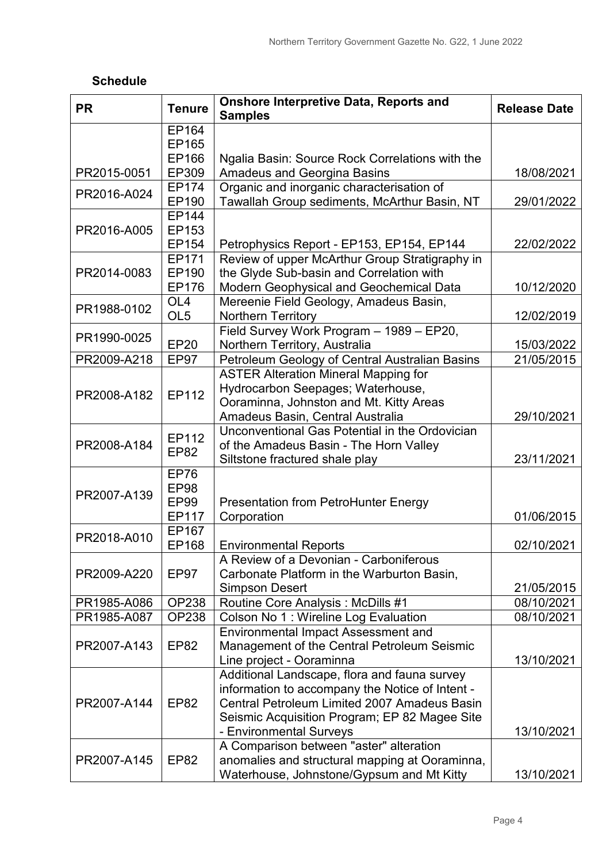| <b>Schedule</b> |  |
|-----------------|--|
|                 |  |

| <b>PR</b>   | <b>Tenure</b>   | <b>Onshore Interpretive Data, Reports and</b><br><b>Samples</b>                             | <b>Release Date</b> |
|-------------|-----------------|---------------------------------------------------------------------------------------------|---------------------|
|             | EP164           |                                                                                             |                     |
|             | EP165           |                                                                                             |                     |
|             | EP166           | Ngalia Basin: Source Rock Correlations with the                                             |                     |
| PR2015-0051 | EP309           | <b>Amadeus and Georgina Basins</b>                                                          | 18/08/2021          |
| PR2016-A024 | EP174           | Organic and inorganic characterisation of                                                   |                     |
|             | EP190           | Tawallah Group sediments, McArthur Basin, NT                                                | 29/01/2022          |
|             | <b>EP144</b>    |                                                                                             |                     |
| PR2016-A005 | EP153<br>EP154  |                                                                                             | 22/02/2022          |
|             | EP171           | Petrophysics Report - EP153, EP154, EP144<br>Review of upper McArthur Group Stratigraphy in |                     |
| PR2014-0083 | EP190           | the Glyde Sub-basin and Correlation with                                                    |                     |
|             | EP176           | Modern Geophysical and Geochemical Data                                                     | 10/12/2020          |
|             | OL <sub>4</sub> | Mereenie Field Geology, Amadeus Basin,                                                      |                     |
| PR1988-0102 | OL <sub>5</sub> | <b>Northern Territory</b>                                                                   | 12/02/2019          |
|             |                 | Field Survey Work Program - 1989 - EP20,                                                    |                     |
| PR1990-0025 | <b>EP20</b>     | Northern Territory, Australia                                                               | 15/03/2022          |
| PR2009-A218 | <b>EP97</b>     | Petroleum Geology of Central Australian Basins                                              | 21/05/2015          |
|             |                 | <b>ASTER Alteration Mineral Mapping for</b>                                                 |                     |
|             | EP112           | Hydrocarbon Seepages; Waterhouse,                                                           |                     |
| PR2008-A182 |                 | Ooraminna, Johnston and Mt. Kitty Areas                                                     |                     |
|             |                 | Amadeus Basin, Central Australia                                                            | 29/10/2021          |
|             | EP112           | Unconventional Gas Potential in the Ordovician                                              |                     |
| PR2008-A184 | <b>EP82</b>     | of the Amadeus Basin - The Horn Valley                                                      |                     |
|             |                 | Siltstone fractured shale play                                                              | 23/11/2021          |
|             | <b>EP76</b>     |                                                                                             |                     |
| PR2007-A139 | <b>EP98</b>     |                                                                                             |                     |
|             | <b>EP99</b>     | <b>Presentation from PetroHunter Energy</b>                                                 |                     |
|             | EP117<br>EP167  | Corporation                                                                                 | 01/06/2015          |
| PR2018-A010 | EP168           | <b>Environmental Reports</b>                                                                | 02/10/2021          |
|             |                 | A Review of a Devonian - Carboniferous                                                      |                     |
| PR2009-A220 | EP97            | Carbonate Platform in the Warburton Basin,                                                  |                     |
|             |                 | <b>Simpson Desert</b>                                                                       | 21/05/2015          |
| PR1985-A086 | <b>OP238</b>    | Routine Core Analysis: McDills #1                                                           | 08/10/2021          |
| PR1985-A087 | <b>OP238</b>    | Colson No 1 : Wireline Log Evaluation                                                       | 08/10/2021          |
|             |                 | <b>Environmental Impact Assessment and</b>                                                  |                     |
| PR2007-A143 | <b>EP82</b>     | Management of the Central Petroleum Seismic                                                 |                     |
|             |                 | Line project - Ooraminna                                                                    | 13/10/2021          |
|             |                 | Additional Landscape, flora and fauna survey                                                |                     |
|             |                 | information to accompany the Notice of Intent -                                             |                     |
| PR2007-A144 | <b>EP82</b>     | Central Petroleum Limited 2007 Amadeus Basin                                                |                     |
|             |                 | Seismic Acquisition Program; EP 82 Magee Site                                               |                     |
|             |                 | - Environmental Surveys                                                                     | 13/10/2021          |
|             |                 | A Comparison between "aster" alteration                                                     |                     |
| PR2007-A145 | <b>EP82</b>     | anomalies and structural mapping at Ooraminna,                                              |                     |
|             |                 | Waterhouse, Johnstone/Gypsum and Mt Kitty                                                   | 13/10/2021          |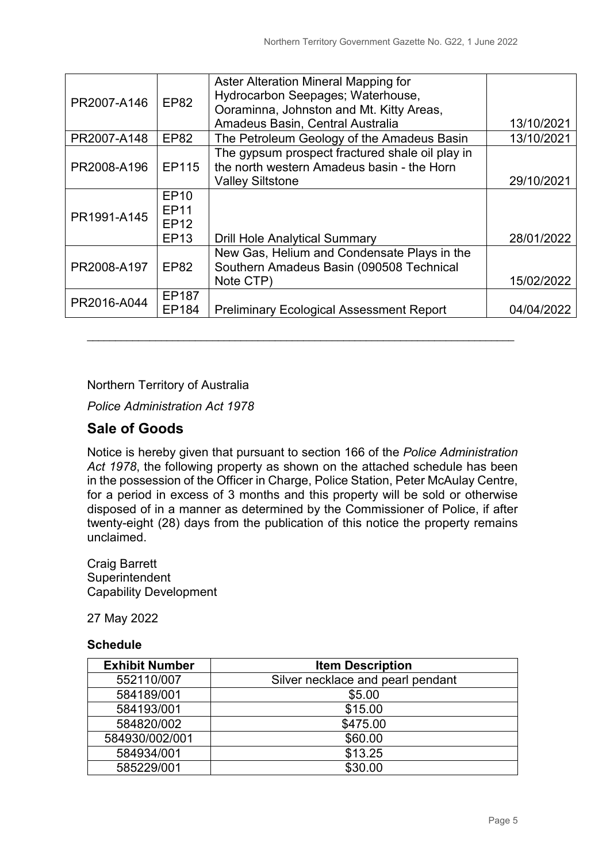| PR2007-A146 | <b>EP82</b>                                       | Aster Alteration Mineral Mapping for<br>Hydrocarbon Seepages; Waterhouse,<br>Ooraminna, Johnston and Mt. Kitty Areas,    |            |
|-------------|---------------------------------------------------|--------------------------------------------------------------------------------------------------------------------------|------------|
|             |                                                   | Amadeus Basin, Central Australia                                                                                         | 13/10/2021 |
| PR2007-A148 | <b>EP82</b>                                       | The Petroleum Geology of the Amadeus Basin                                                                               | 13/10/2021 |
| PR2008-A196 | EP115                                             | The gypsum prospect fractured shale oil play in<br>the north western Amadeus basin - the Horn<br><b>Valley Siltstone</b> | 29/10/2021 |
| PR1991-A145 | <b>EP10</b><br><b>EP11</b><br><b>EP12</b><br>EP13 | <b>Drill Hole Analytical Summary</b>                                                                                     | 28/01/2022 |
| PR2008-A197 | <b>EP82</b>                                       | New Gas, Helium and Condensate Plays in the<br>Southern Amadeus Basin (090508 Technical<br>Note CTP)                     | 15/02/2022 |
| PR2016-A044 | EP187<br>EP184                                    | <b>Preliminary Ecological Assessment Report</b>                                                                          | 04/04/2022 |

Northern Territory of Australia

*Police Administration Act 1978*

## **Sale of Goods**

Notice is hereby given that pursuant to section 166 of the *Police Administration Act 1978*, the following property as shown on the attached schedule has been in the possession of the Officer in Charge, Police Station, Peter McAulay Centre, for a period in excess of 3 months and this property will be sold or otherwise disposed of in a manner as determined by the Commissioner of Police, if after twenty-eight (28) days from the publication of this notice the property remains unclaimed.

\_\_\_\_\_\_\_\_\_\_\_\_\_\_\_\_\_\_\_\_\_\_\_\_\_\_\_\_\_\_\_\_\_\_\_\_\_\_\_\_\_\_\_\_\_\_\_\_\_\_\_\_\_\_\_\_\_\_\_\_\_\_\_\_\_\_\_\_\_\_\_\_\_\_\_

Craig Barrett **Superintendent** Capability Development

27 May 2022

## **Schedule**

| <b>Exhibit Number</b> | <b>Item Description</b>           |
|-----------------------|-----------------------------------|
| 552110/007            | Silver necklace and pearl pendant |
| 584189/001            | \$5.00                            |
| 584193/001            | \$15.00                           |
| 584820/002            | \$475.00                          |
| 584930/002/001        | \$60.00                           |
| 584934/001            | \$13.25                           |
| 585229/001            | \$30.00                           |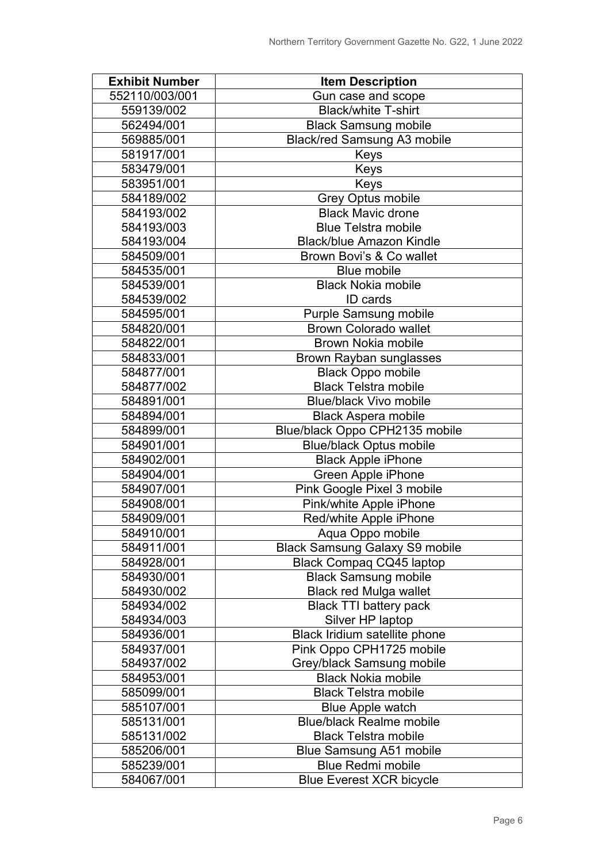| <b>Exhibit Number</b> | <b>Item Description</b>               |  |
|-----------------------|---------------------------------------|--|
| 552110/003/001        | Gun case and scope                    |  |
| 559139/002            | <b>Black/white T-shirt</b>            |  |
| 562494/001            | <b>Black Samsung mobile</b>           |  |
| 569885/001            | Black/red Samsung A3 mobile           |  |
| 581917/001            | Keys                                  |  |
| 583479/001            | Keys                                  |  |
| 583951/001            | Keys                                  |  |
| 584189/002            | <b>Grey Optus mobile</b>              |  |
| 584193/002            | <b>Black Mavic drone</b>              |  |
| 584193/003            | <b>Blue Telstra mobile</b>            |  |
| 584193/004            | <b>Black/blue Amazon Kindle</b>       |  |
| 584509/001            | Brown Bovi's & Co wallet              |  |
| 584535/001            | <b>Blue mobile</b>                    |  |
| 584539/001            | <b>Black Nokia mobile</b>             |  |
| 584539/002            | <b>ID</b> cards                       |  |
| 584595/001            | <b>Purple Samsung mobile</b>          |  |
| 584820/001            | <b>Brown Colorado wallet</b>          |  |
| 584822/001            | <b>Brown Nokia mobile</b>             |  |
| 584833/001            | <b>Brown Rayban sunglasses</b>        |  |
| 584877/001            | <b>Black Oppo mobile</b>              |  |
| 584877/002            | <b>Black Telstra mobile</b>           |  |
| 584891/001            | <b>Blue/black Vivo mobile</b>         |  |
| 584894/001            | <b>Black Aspera mobile</b>            |  |
| 584899/001            | Blue/black Oppo CPH2135 mobile        |  |
| 584901/001            | <b>Blue/black Optus mobile</b>        |  |
| 584902/001            | <b>Black Apple iPhone</b>             |  |
| 584904/001            | Green Apple iPhone                    |  |
| 584907/001            | Pink Google Pixel 3 mobile            |  |
| 584908/001            | Pink/white Apple iPhone               |  |
| 584909/001            | Red/white Apple iPhone                |  |
| 584910/001            | Aqua Oppo mobile                      |  |
| 584911/001            | <b>Black Samsung Galaxy S9 mobile</b> |  |
| 584928/001            | Black Compaq CQ45 laptop              |  |
| 584930/001            | <b>Black Samsung mobile</b>           |  |
| 584930/002            | <b>Black red Mulga wallet</b>         |  |
| 584934/002            | <b>Black TTI battery pack</b>         |  |
| 584934/003            | Silver HP laptop                      |  |
| 584936/001            | Black Iridium satellite phone         |  |
| 584937/001            | Pink Oppo CPH1725 mobile              |  |
| 584937/002            | Grey/black Samsung mobile             |  |
| 584953/001            | <b>Black Nokia mobile</b>             |  |
| 585099/001            | <b>Black Telstra mobile</b>           |  |
| 585107/001            | <b>Blue Apple watch</b>               |  |
| 585131/001            | <b>Blue/black Realme mobile</b>       |  |
| 585131/002            | <b>Black Telstra mobile</b>           |  |
| 585206/001            | <b>Blue Samsung A51 mobile</b>        |  |
| 585239/001            | <b>Blue Redmi mobile</b>              |  |
| 584067/001            | <b>Blue Everest XCR bicycle</b>       |  |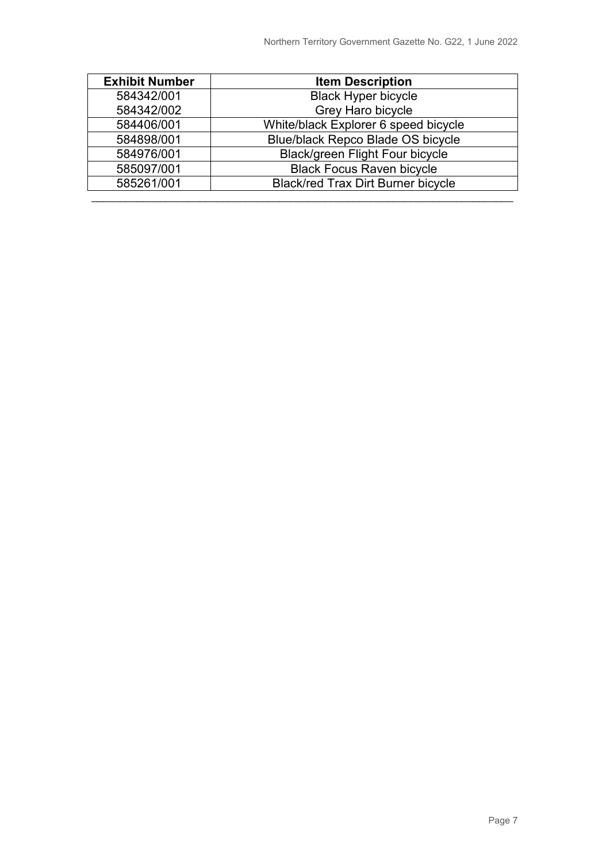| <b>Exhibit Number</b> | <b>Item Description</b>                   |  |
|-----------------------|-------------------------------------------|--|
| 584342/001            | <b>Black Hyper bicycle</b>                |  |
| 584342/002            | Grey Haro bicycle                         |  |
| 584406/001            | White/black Explorer 6 speed bicycle      |  |
| 584898/001            | <b>Blue/black Repco Blade OS bicycle</b>  |  |
| 584976/001            | Black/green Flight Four bicycle           |  |
| 585097/001            | <b>Black Focus Raven bicycle</b>          |  |
| 585261/001            | <b>Black/red Trax Dirt Burner bicycle</b> |  |
|                       |                                           |  |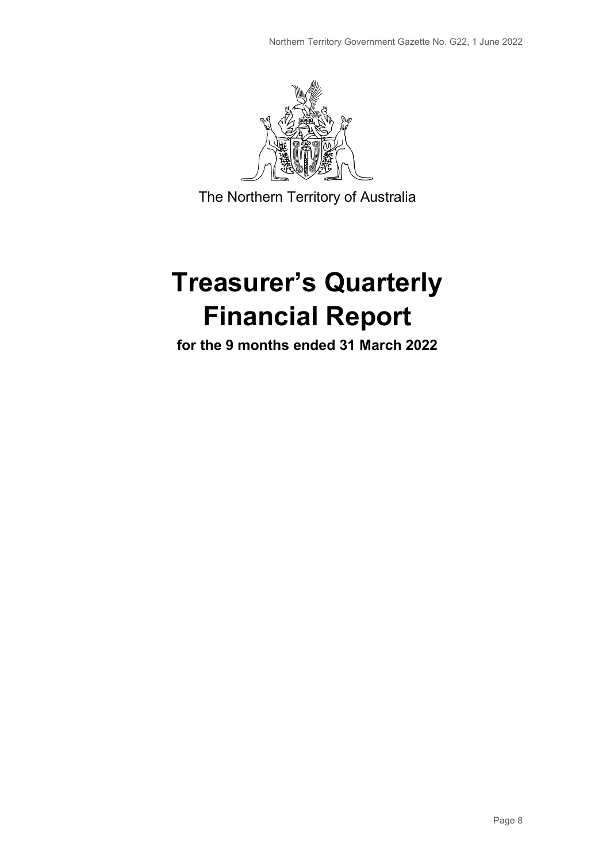

The Northern Territory of Australia

# **Treasurer's Quarterly Financial Report**

**for the 9 months ended 31 March 2022**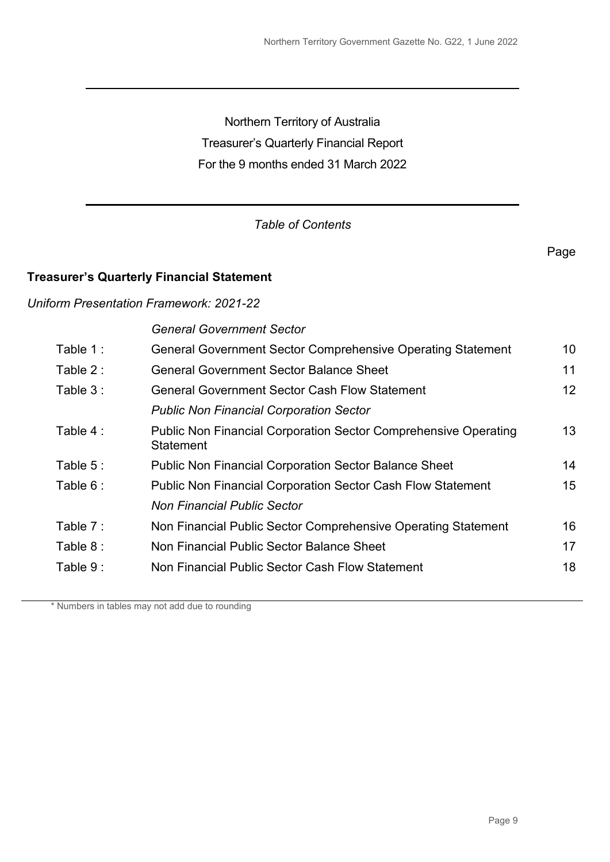Northern Territory of Australia Treasurer's Quarterly Financial Report For the 9 months ended 31 March 2022

## *Table of Contents*

## **Treasurer's Quarterly Financial Statement**

## *Uniform Presentation Framework: 2021-22*

*General Government Sector*

| Table 1:   | General Government Sector Comprehensive Operating Statement                                | 10 |
|------------|--------------------------------------------------------------------------------------------|----|
| Table 2:   | <b>General Government Sector Balance Sheet</b>                                             | 11 |
| Table 3:   | <b>General Government Sector Cash Flow Statement</b>                                       | 12 |
|            | <b>Public Non Financial Corporation Sector</b>                                             |    |
| Table 4 :  | <b>Public Non Financial Corporation Sector Comprehensive Operating</b><br><b>Statement</b> | 13 |
| Table $5:$ | <b>Public Non Financial Corporation Sector Balance Sheet</b>                               | 14 |
| Table 6:   | <b>Public Non Financial Corporation Sector Cash Flow Statement</b>                         | 15 |
|            | <b>Non Financial Public Sector</b>                                                         |    |
| Table 7:   | Non Financial Public Sector Comprehensive Operating Statement                              | 16 |
| Table 8:   | Non Financial Public Sector Balance Sheet                                                  | 17 |
| Table 9:   | Non Financial Public Sector Cash Flow Statement                                            | 18 |
|            |                                                                                            |    |

\* Numbers in tables may not add due to rounding

Page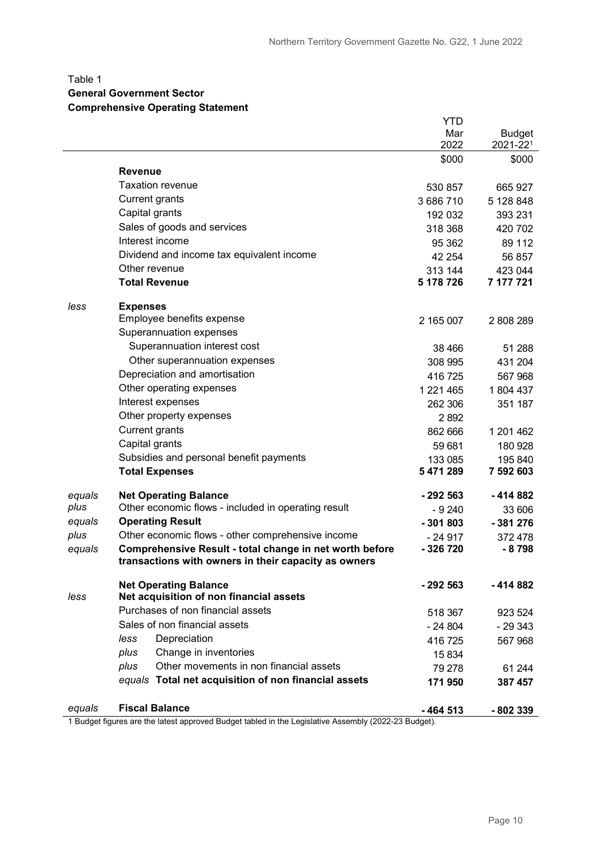## Table 1

#### **General Government Sector**

#### **Comprehensive Operating Statement**

|        |                                                                                                                 | <b>YTD</b>           |                      |
|--------|-----------------------------------------------------------------------------------------------------------------|----------------------|----------------------|
|        |                                                                                                                 | Mar                  | <b>Budget</b>        |
|        |                                                                                                                 | 2022                 | 2021-221             |
|        | <b>Revenue</b>                                                                                                  | \$000                | \$000                |
|        | <b>Taxation revenue</b>                                                                                         |                      |                      |
|        | <b>Current grants</b>                                                                                           | 530 857              | 665 927              |
|        | Capital grants                                                                                                  | 3686710              | 5 128 848            |
|        | Sales of goods and services                                                                                     | 192 032              | 393 231              |
|        | Interest income                                                                                                 | 318 368              | 420 702              |
|        | Dividend and income tax equivalent income                                                                       | 95 362               | 89 112               |
|        | Other revenue                                                                                                   | 42 254               | 56 857               |
|        | <b>Total Revenue</b>                                                                                            | 313 144<br>5 178 726 | 423 044<br>7 177 721 |
| less   | <b>Expenses</b>                                                                                                 |                      |                      |
|        | Employee benefits expense                                                                                       | 2 165 007            | 2808289              |
|        | Superannuation expenses                                                                                         |                      |                      |
|        | Superannuation interest cost                                                                                    | 38 4 66              | 51 288               |
|        | Other superannuation expenses                                                                                   | 308 995              | 431 204              |
|        | Depreciation and amortisation                                                                                   | 416725               | 567 968              |
|        | Other operating expenses                                                                                        | 1 221 465            | 1804 437             |
|        | Interest expenses                                                                                               | 262 306              | 351 187              |
|        | Other property expenses                                                                                         | 2892                 |                      |
|        | <b>Current grants</b>                                                                                           | 862 666              | 1 201 462            |
|        | Capital grants                                                                                                  | 59 681               | 180 928              |
|        | Subsidies and personal benefit payments                                                                         | 133 085              | 195 840              |
|        | <b>Total Expenses</b>                                                                                           | 5 471 289            | 7 592 603            |
| equals | <b>Net Operating Balance</b>                                                                                    | -292 563             | -414 882             |
| plus   | Other economic flows - included in operating result                                                             | $-9240$              | 33 606               |
| equals | <b>Operating Result</b>                                                                                         | $-301803$            | $-381276$            |
| plus   | Other economic flows - other comprehensive income                                                               | $-24917$             | 372 478              |
| equals | Comprehensive Result - total change in net worth before<br>transactions with owners in their capacity as owners | -326720              | $-8798$              |
|        | <b>Net Operating Balance</b>                                                                                    | - 292 563            | - 414 882            |
| less   | Net acquisition of non financial assets                                                                         |                      |                      |
|        | Purchases of non financial assets                                                                               | 518 367              | 923 524              |
|        | Sales of non financial assets                                                                                   | $-24804$             | $-29343$             |
|        | Depreciation<br>less                                                                                            | 416725               | 567 968              |
|        | Change in inventories<br>plus                                                                                   | 15 8 34              |                      |
|        | Other movements in non financial assets<br>plus                                                                 | 79 278               | 61 244               |
|        | equals Total net acquisition of non financial assets                                                            | 171950               | 387 457              |
| equals | <b>Fiscal Balance</b>                                                                                           | $-464513$            | -802 339             |

1 Budget figures are the latest approved Budget tabled in the Legislative Assembly (2022-23 Budget).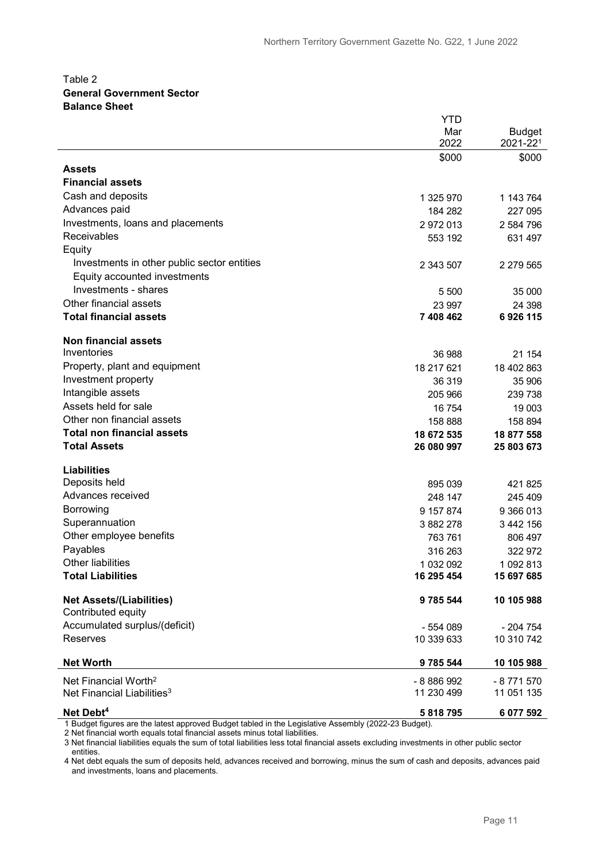#### Table 2 **General Government Sector Balance Sheet**

|                                                       | <b>YTD</b>    |               |
|-------------------------------------------------------|---------------|---------------|
|                                                       | Mar           | <b>Budget</b> |
|                                                       | 2022          | 2021-221      |
|                                                       | \$000         | \$000         |
| <b>Assets</b>                                         |               |               |
| <b>Financial assets</b>                               |               |               |
| Cash and deposits                                     | 1 325 970     | 1 143 764     |
| Advances paid                                         | 184 282       | 227 095       |
| Investments, loans and placements                     | 2972013       | 2 584 796     |
| <b>Receivables</b>                                    | 553 192       | 631 497       |
| Equity                                                |               |               |
| Investments in other public sector entities           | 2 343 507     | 2 279 565     |
| Equity accounted investments                          |               |               |
| Investments - shares                                  | 5 500         | 35 000        |
| Other financial assets                                | 23 997        | 24 398        |
| <b>Total financial assets</b>                         | 7 408 462     | 6926115       |
|                                                       |               |               |
| <b>Non financial assets</b>                           |               |               |
| Inventories                                           | 36 988        | 21 154        |
| Property, plant and equipment                         | 18 217 621    | 18 402 863    |
| Investment property                                   | 36 319        | 35 906        |
| Intangible assets                                     | 205 966       | 239 738       |
| Assets held for sale                                  | 16 754        | 19 003        |
| Other non financial assets                            | 158 888       | 158 894       |
| <b>Total non financial assets</b>                     | 18 672 535    | 18 877 558    |
| <b>Total Assets</b>                                   | 26 080 997    | 25 803 673    |
|                                                       |               |               |
| <b>Liabilities</b>                                    |               |               |
| Deposits held                                         | 895 039       | 421 825       |
| Advances received                                     | 248 147       | 245 409       |
| Borrowing                                             | 9 157 874     | 9 366 013     |
| Superannuation                                        | 3 882 278     | 3 442 156     |
| Other employee benefits                               | 763 761       | 806 497       |
| Payables                                              | 316 263       | 322 972       |
| Other liabilities                                     | 1 032 092     | 1 092 813     |
| <b>Total Liabilities</b>                              | 16 295 454    | 15 697 685    |
|                                                       |               |               |
| <b>Net Assets/(Liabilities)</b><br>Contributed equity | 9 7 8 5 5 4 4 | 10 105 988    |
|                                                       |               |               |
| Accumulated surplus/(deficit)                         | - 554 089     | - 204 754     |
| <b>Reserves</b>                                       | 10 339 633    | 10 310 742    |
| <b>Net Worth</b>                                      | 9 785 544     | 10 105 988    |
| Net Financial Worth <sup>2</sup>                      | - 8 886 992   | $-8771570$    |
| Net Financial Liabilities <sup>3</sup>                | 11 230 499    | 11 051 135    |
| Net Debt <sup>4</sup>                                 | 5818795       | 6 077 592     |

1 Budget figures are the latest approved Budget tabled in the Legislative Assembly (2022-23 Budget).

2 Net financial worth equals total financial assets minus total liabilities.

3 Net financial liabilities equals the sum of total liabilities less total financial assets excluding investments in other public sector entities.

4 Net debt equals the sum of deposits held, advances received and borrowing, minus the sum of cash and deposits, advances paid and investments, loans and placements.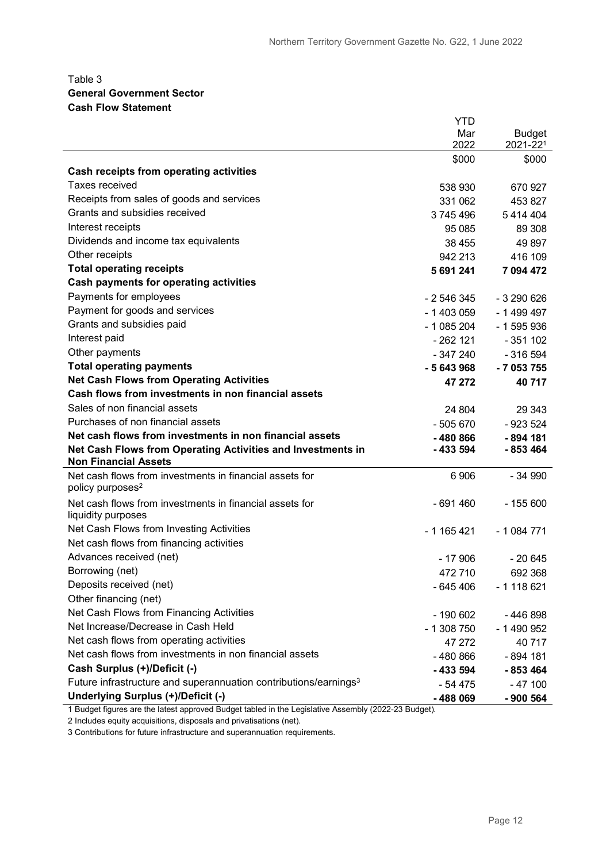#### Table 3 **General Government Sector Cash Flow Statement**

|                                                                                            | <b>YTD</b>  |               |
|--------------------------------------------------------------------------------------------|-------------|---------------|
|                                                                                            | Mar         | <b>Budget</b> |
|                                                                                            | 2022        | 2021-221      |
|                                                                                            | \$000       | \$000         |
| Cash receipts from operating activities                                                    |             |               |
| Taxes received                                                                             | 538 930     | 670 927       |
| Receipts from sales of goods and services                                                  | 331 062     | 453 827       |
| Grants and subsidies received                                                              | 3745496     | 5414404       |
| Interest receipts                                                                          | 95 085      | 89 30 8       |
| Dividends and income tax equivalents                                                       | 38 455      | 49 897        |
| Other receipts                                                                             | 942 213     | 416 109       |
| <b>Total operating receipts</b>                                                            | 5 691 241   | 7 094 472     |
| <b>Cash payments for operating activities</b>                                              |             |               |
| Payments for employees                                                                     | - 2 546 345 | $-3290626$    |
| Payment for goods and services                                                             | - 1 403 059 | - 1 499 497   |
| Grants and subsidies paid                                                                  | $-1085204$  | $-1595936$    |
| Interest paid                                                                              | $-262$ 121  | $-351102$     |
| Other payments                                                                             | $-347240$   | $-316594$     |
| <b>Total operating payments</b>                                                            | $-5643968$  | $-7053755$    |
| <b>Net Cash Flows from Operating Activities</b>                                            | 47 272      | 40717         |
| Cash flows from investments in non financial assets                                        |             |               |
| Sales of non financial assets                                                              | 24 804      | 29 34 3       |
| Purchases of non financial assets                                                          | $-505670$   | $-923524$     |
| Net cash flows from investments in non financial assets                                    | $-480866$   | $-894$ 181    |
| Net Cash Flows from Operating Activities and Investments in<br><b>Non Financial Assets</b> | $-433594$   | $-853464$     |
| Net cash flows from investments in financial assets for<br>policy purposes <sup>2</sup>    | 6 906       | $-34990$      |
| Net cash flows from investments in financial assets for                                    | $-691460$   | $-155600$     |
| liquidity purposes<br>Net Cash Flows from Investing Activities                             |             |               |
| Net cash flows from financing activities                                                   | $-1165421$  | $-1084771$    |
| Advances received (net)                                                                    |             |               |
|                                                                                            | $-17906$    | $-20645$      |
| Borrowing (net)<br>Deposits received (net)                                                 | 472710      | 692 368       |
| Other financing (net)                                                                      | $-645406$   | $-1118621$    |
| Net Cash Flows from Financing Activities                                                   |             |               |
| Net Increase/Decrease in Cash Held                                                         | $-190602$   | - 446 898     |
|                                                                                            | $-1308750$  | - 1 490 952   |
| Net cash flows from operating activities                                                   | 47 27 2     | 40717         |
| Net cash flows from investments in non financial assets                                    | -480 866    | - 894 181     |
| Cash Surplus (+)/Deficit (-)                                                               | -433 594    | $-853464$     |
| Future infrastructure and superannuation contributions/earnings <sup>3</sup>               | - 54 475    | $-47100$      |
| Underlying Surplus (+)/Deficit (-)                                                         | -488 069    | - 900 564     |

1 Budget figures are the latest approved Budget tabled in the Legislative Assembly (2022-23 Budget).

2 Includes equity acquisitions, disposals and privatisations (net).

3 Contributions for future infrastructure and superannuation requirements.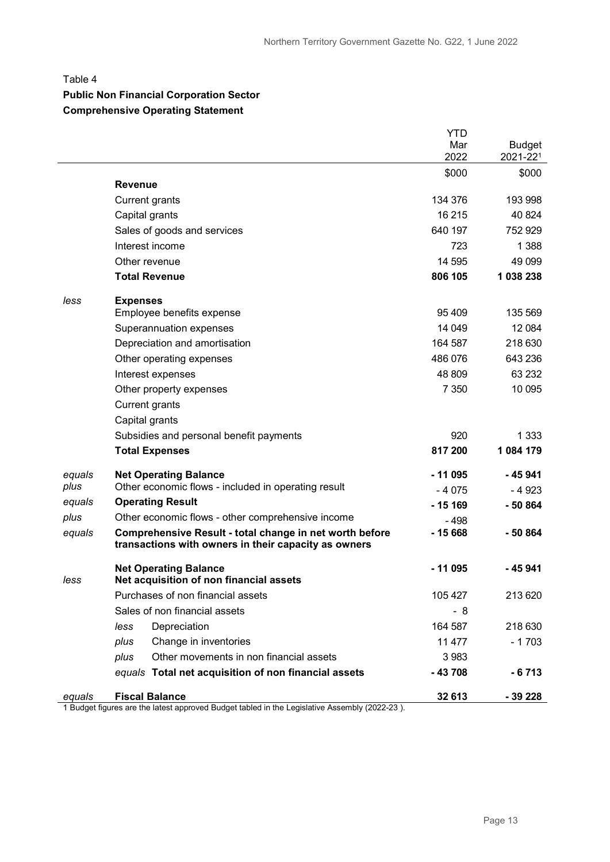#### Table 4

# **Public Non Financial Corporation Sector**

## **Comprehensive Operating Statement**

|        |                                                                                                                 | <b>YTD</b>  |                           |
|--------|-----------------------------------------------------------------------------------------------------------------|-------------|---------------------------|
|        |                                                                                                                 | Mar<br>2022 | <b>Budget</b><br>2021-221 |
|        |                                                                                                                 | \$000       | \$000                     |
|        | <b>Revenue</b>                                                                                                  |             |                           |
|        | <b>Current grants</b>                                                                                           | 134 376     | 193 998                   |
|        | Capital grants                                                                                                  | 16 215      | 40 824                    |
|        | Sales of goods and services                                                                                     | 640 197     | 752 929                   |
|        | Interest income                                                                                                 | 723         | 1 3 8 8                   |
|        | Other revenue                                                                                                   | 14 595      | 49 099                    |
|        | <b>Total Revenue</b>                                                                                            | 806 105     | 1 038 238                 |
| less   | <b>Expenses</b>                                                                                                 |             |                           |
|        | Employee benefits expense                                                                                       | 95 409      | 135 569                   |
|        | Superannuation expenses                                                                                         | 14 049      | 12 0 84                   |
|        | Depreciation and amortisation                                                                                   | 164 587     | 218 630                   |
|        | Other operating expenses                                                                                        | 486 076     | 643 236                   |
|        | Interest expenses                                                                                               | 48 809      | 63 232                    |
|        | Other property expenses                                                                                         | 7 3 5 0     | 10 095                    |
|        | Current grants                                                                                                  |             |                           |
|        | Capital grants                                                                                                  |             |                           |
|        | Subsidies and personal benefit payments                                                                         | 920         | 1 3 3 3                   |
|        | <b>Total Expenses</b>                                                                                           | 817 200     | 1 084 179                 |
| equals | <b>Net Operating Balance</b>                                                                                    | $-11095$    | - 45 941                  |
| plus   | Other economic flows - included in operating result                                                             | $-4075$     | - 4 923                   |
| equals | <b>Operating Result</b>                                                                                         | $-15169$    | $-50864$                  |
| plus   | Other economic flows - other comprehensive income                                                               | $-498$      |                           |
| equals | Comprehensive Result - total change in net worth before<br>transactions with owners in their capacity as owners | $-15668$    | - 50 864                  |
| less   | <b>Net Operating Balance</b><br>Net acquisition of non financial assets                                         | - 11 095    | - 45 941                  |
|        | Purchases of non financial assets                                                                               | 105 427     | 213 620                   |
|        | Sales of non financial assets                                                                                   | - 8         |                           |
|        | less<br>Depreciation                                                                                            | 164 587     | 218 630                   |
|        | Change in inventories<br>plus                                                                                   | 11 477      | $-1703$                   |
|        | Other movements in non financial assets<br>plus                                                                 | 3 9 8 3     |                           |
|        | equals Total net acquisition of non financial assets                                                            | $-43708$    | $-6713$                   |
| equals | <b>Fiscal Balance</b>                                                                                           | 32 613      | - 39 228                  |

1 Budget figures are the latest approved Budget tabled in the Legislative Assembly (2022-23 ).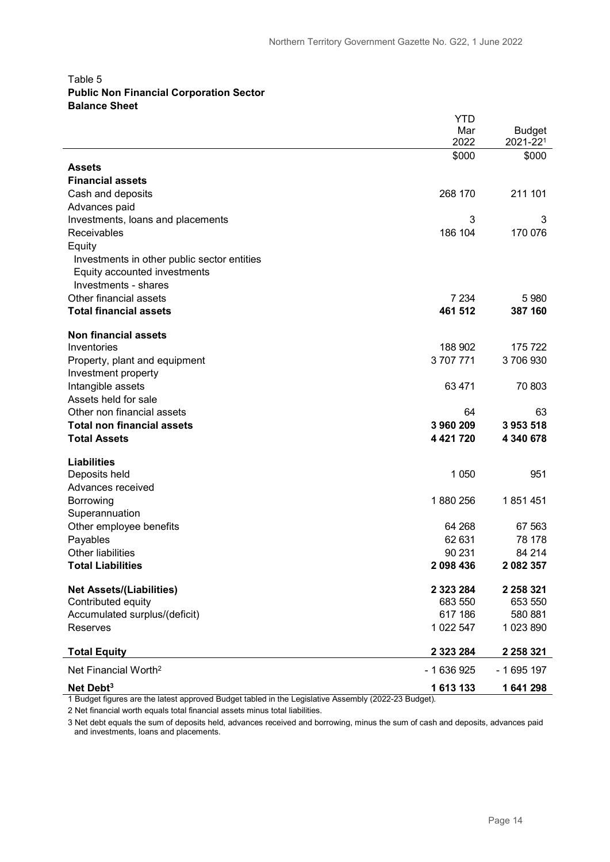#### Table 5 **Public Non Financial Corporation Sector Balance Sheet**

|                                             | YTD           |               |
|---------------------------------------------|---------------|---------------|
|                                             | Mar           | <b>Budget</b> |
|                                             | 2022          | 2021-221      |
| <b>Assets</b>                               | \$000         | \$000         |
| <b>Financial assets</b>                     |               |               |
| Cash and deposits                           | 268 170       | 211 101       |
| Advances paid                               |               |               |
| Investments, loans and placements           | 3             | 3             |
| Receivables                                 | 186 104       | 170 076       |
| Equity                                      |               |               |
| Investments in other public sector entities |               |               |
| Equity accounted investments                |               |               |
| Investments - shares                        |               |               |
| Other financial assets                      | 7 2 3 4       | 5 9 8 0       |
| <b>Total financial assets</b>               | 461 512       | 387 160       |
| <b>Non financial assets</b>                 |               |               |
| Inventories                                 | 188 902       | 175722        |
| Property, plant and equipment               | 3707771       | 3706930       |
| Investment property                         |               |               |
| Intangible assets                           | 63 471        | 70 803        |
| Assets held for sale                        |               |               |
| Other non financial assets                  | 64            | 63            |
| <b>Total non financial assets</b>           | 3 960 209     | 3953518       |
| <b>Total Assets</b>                         | 4 4 21 7 20   | 4 340 678     |
| <b>Liabilities</b>                          |               |               |
| Deposits held                               | 1 0 5 0       | 951           |
| Advances received                           |               |               |
| Borrowing                                   | 1880256       | 1851451       |
| Superannuation                              |               |               |
| Other employee benefits                     | 64 268        | 67 563        |
| Payables                                    | 62 631        | 78 178        |
| <b>Other liabilities</b>                    | 90 231        | 84 214        |
| <b>Total Liabilities</b>                    | 2 098 436     | 2 082 357     |
| <b>Net Assets/(Liabilities)</b>             | 2 3 2 3 2 8 4 | 2 2 5 8 3 2 1 |
| Contributed equity                          | 683 550       | 653 550       |
| Accumulated surplus/(deficit)               | 617 186       | 580 881       |
| Reserves                                    | 1 022 547     | 1023890       |
| <b>Total Equity</b>                         | 2 3 2 3 2 8 4 | 2 2 5 8 3 2 1 |
| Net Financial Worth <sup>2</sup>            | - 1 636 925   | $-1695197$    |
| Net Debt <sup>3</sup>                       | 1613133       | 1641298       |

1 Budget figures are the latest approved Budget tabled in the Legislative Assembly (2022-23 Budget).

2 Net financial worth equals total financial assets minus total liabilities.

3 Net debt equals the sum of deposits held, advances received and borrowing, minus the sum of cash and deposits, advances paid and investments, loans and placements.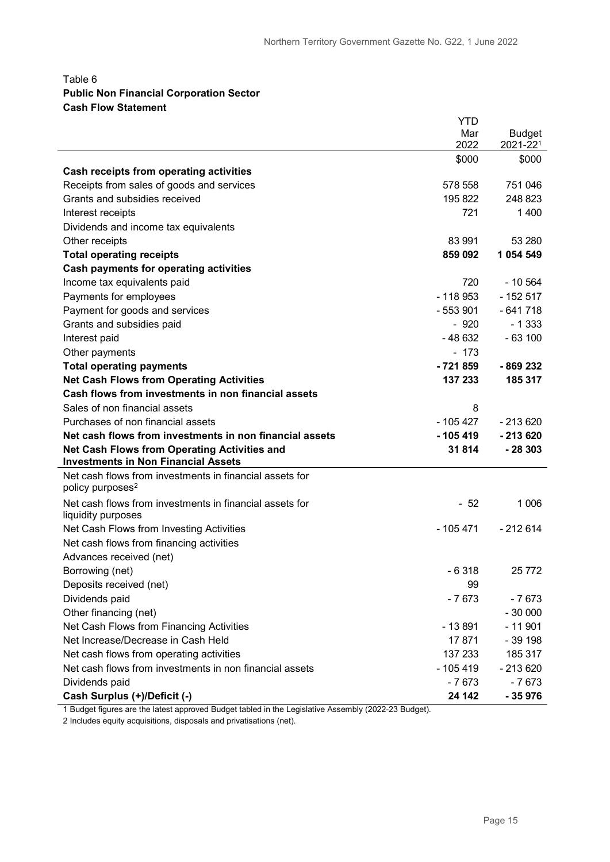#### Table 6 **Public Non Financial Corporation Sector Cash Flow Statement**

|                                                                                                   | <b>YTD</b> |               |
|---------------------------------------------------------------------------------------------------|------------|---------------|
|                                                                                                   | Mar        | <b>Budget</b> |
|                                                                                                   | 2022       | 2021-221      |
|                                                                                                   | \$000      | \$000         |
| Cash receipts from operating activities                                                           |            |               |
| Receipts from sales of goods and services                                                         | 578 558    | 751 046       |
| Grants and subsidies received                                                                     | 195 822    | 248 823       |
| Interest receipts                                                                                 | 721        | 1 400         |
| Dividends and income tax equivalents                                                              |            |               |
| Other receipts                                                                                    | 83 991     | 53 280        |
| <b>Total operating receipts</b>                                                                   | 859 092    | 1 0 5 4 5 4 9 |
| <b>Cash payments for operating activities</b>                                                     |            |               |
| Income tax equivalents paid                                                                       | 720        | $-10.564$     |
| Payments for employees                                                                            | $-118953$  | $-152517$     |
| Payment for goods and services                                                                    | - 553 901  | $-641718$     |
| Grants and subsidies paid                                                                         | $-920$     | $-1333$       |
| Interest paid                                                                                     | $-48632$   | $-63100$      |
| Other payments                                                                                    | $-173$     |               |
| <b>Total operating payments</b>                                                                   | $-721859$  | -869 232      |
| <b>Net Cash Flows from Operating Activities</b>                                                   | 137 233    | 185 317       |
| Cash flows from investments in non financial assets                                               |            |               |
| Sales of non financial assets                                                                     | 8          |               |
| Purchases of non financial assets                                                                 | - 105 427  | $-213620$     |
| Net cash flows from investments in non financial assets                                           | $-105419$  | $-213620$     |
| <b>Net Cash Flows from Operating Activities and</b><br><b>Investments in Non Financial Assets</b> | 31814      | $-28303$      |
| Net cash flows from investments in financial assets for<br>policy purposes <sup>2</sup>           |            |               |
| Net cash flows from investments in financial assets for<br>liquidity purposes                     | $-52$      | 1 0 0 6       |
| Net Cash Flows from Investing Activities                                                          | - 105 471  | $-212614$     |
| Net cash flows from financing activities                                                          |            |               |
| Advances received (net)                                                                           |            |               |
| Borrowing (net)                                                                                   | - 6318     | 25 772        |
| Deposits received (net)                                                                           | 99         |               |
| Dividends paid                                                                                    | $-7673$    | $-7673$       |
| Other financing (net)                                                                             |            | $-30000$      |
| Net Cash Flows from Financing Activities                                                          | $-13891$   | $-11901$      |
| Net Increase/Decrease in Cash Held                                                                | 17871      | $-39198$      |
| Net cash flows from operating activities                                                          | 137 233    | 185 317       |
| Net cash flows from investments in non financial assets                                           | $-105419$  | $-213620$     |
| Dividends paid                                                                                    | $-7673$    | $-7673$       |
| Cash Surplus (+)/Deficit (-)                                                                      | 24 142     | $-35976$      |

1 Budget figures are the latest approved Budget tabled in the Legislative Assembly (2022-23 Budget).

2 Includes equity acquisitions, disposals and privatisations (net).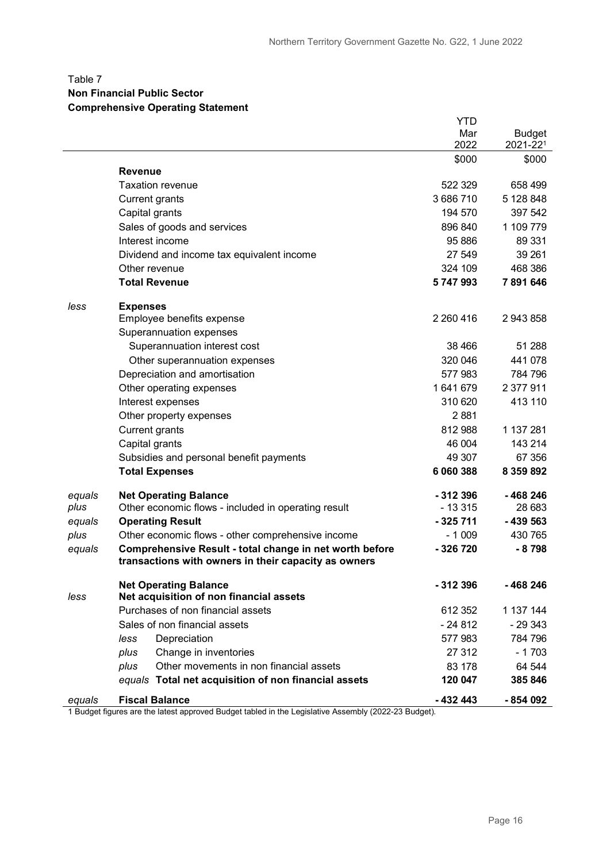#### Table 7 **Non Financial Public Sector**

#### **Comprehensive Operating Statement**

|        |                                                                                                                 | <b>YTD</b>    |               |
|--------|-----------------------------------------------------------------------------------------------------------------|---------------|---------------|
|        |                                                                                                                 | Mar           | <b>Budget</b> |
|        |                                                                                                                 | 2022          | 2021-221      |
|        | <b>Revenue</b>                                                                                                  | \$000         | \$000         |
|        | <b>Taxation revenue</b>                                                                                         | 522 329       | 658 499       |
|        | <b>Current grants</b>                                                                                           | 3686710       | 5 128 848     |
|        | Capital grants                                                                                                  | 194 570       | 397 542       |
|        | Sales of goods and services                                                                                     | 896 840       | 1 109 779     |
|        | Interest income                                                                                                 | 95 886        | 89 331        |
|        | Dividend and income tax equivalent income                                                                       | 27 549        | 39 261        |
|        | Other revenue                                                                                                   | 324 109       | 468 386       |
|        | <b>Total Revenue</b>                                                                                            | 5747993       | 7891646       |
| less   | <b>Expenses</b>                                                                                                 |               |               |
|        | Employee benefits expense                                                                                       | 2 2 6 0 4 1 6 | 2 943 858     |
|        | Superannuation expenses                                                                                         |               |               |
|        | Superannuation interest cost                                                                                    | 38 466        | 51 288        |
|        | Other superannuation expenses                                                                                   | 320 046       | 441 078       |
|        | Depreciation and amortisation                                                                                   | 577983        | 784 796       |
|        | Other operating expenses                                                                                        | 1641679       | 2 377 911     |
|        | Interest expenses                                                                                               | 310 620       | 413 110       |
|        | Other property expenses                                                                                         | 2881          |               |
|        | <b>Current grants</b>                                                                                           | 812 988       | 1 137 281     |
|        | Capital grants                                                                                                  | 46 004        | 143 214       |
|        | Subsidies and personal benefit payments                                                                         | 49 307        | 67 356        |
|        | <b>Total Expenses</b>                                                                                           | 6 060 388     | 8 359 892     |
| equals | <b>Net Operating Balance</b>                                                                                    | $-312396$     | -468 246      |
| plus   | Other economic flows - included in operating result                                                             | $-13315$      | 28 683        |
| equals | <b>Operating Result</b>                                                                                         | $-325711$     | $-439563$     |
| plus   | Other economic flows - other comprehensive income                                                               | $-1009$       | 430 765       |
| equals | Comprehensive Result - total change in net worth before<br>transactions with owners in their capacity as owners | -326720       | $-8798$       |
|        |                                                                                                                 |               |               |
|        | <b>Net Operating Balance</b>                                                                                    | $-312396$     | -468246       |
| less   | Net acquisition of non financial assets                                                                         |               |               |
|        | Purchases of non financial assets                                                                               | 612 352       | 1 137 144     |
|        | Sales of non financial assets                                                                                   | $-24812$      | $-29343$      |
|        | Depreciation<br>less                                                                                            | 577 983       | 784 796       |
|        | Change in inventories<br>plus                                                                                   | 27 312        | $-1703$       |
|        | Other movements in non financial assets<br>plus                                                                 | 83 178        | 64 544        |
|        | equals Total net acquisition of non financial assets                                                            | 120 047       | 385846        |
| equals | <b>Fiscal Balance</b>                                                                                           | $-432443$     | $-854092$     |

1 Budget figures are the latest approved Budget tabled in the Legislative Assembly (2022-23 Budget).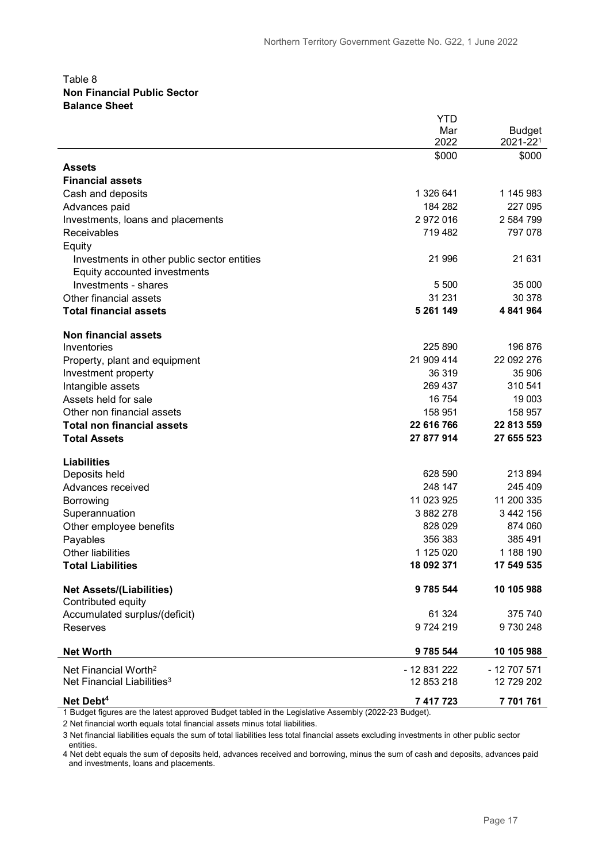#### Table 8 **Non Financial Public Sector Balance Sheet**

|                                             | YTD          |               |
|---------------------------------------------|--------------|---------------|
|                                             | Mar          | <b>Budget</b> |
|                                             | 2022         | 2021-221      |
|                                             | \$000        | \$000         |
| Assets                                      |              |               |
| <b>Financial assets</b>                     |              |               |
| Cash and deposits                           | 1 326 641    | 1 145 983     |
| Advances paid                               | 184 282      | 227 095       |
| Investments, loans and placements           | 2 972 016    | 2 584 799     |
| Receivables                                 | 719 482      | 797 078       |
| Equity                                      |              |               |
| Investments in other public sector entities | 21 996       | 21 631        |
| Equity accounted investments                |              |               |
| Investments - shares                        | 5 500        | 35 000        |
| Other financial assets                      | 31 231       | 30 378        |
| <b>Total financial assets</b>               | 5 261 149    | 4 841 964     |
|                                             |              |               |
| <b>Non financial assets</b>                 |              |               |
| Inventories                                 | 225 890      | 196 876       |
| Property, plant and equipment               | 21 909 414   | 22 092 276    |
| Investment property                         | 36 319       | 35 906        |
| Intangible assets                           | 269 437      | 310 541       |
| Assets held for sale                        | 16 754       | 19 003        |
| Other non financial assets                  | 158 951      | 158 957       |
| <b>Total non financial assets</b>           | 22 616 766   | 22 813 559    |
| <b>Total Assets</b>                         | 27 877 914   | 27 655 523    |
|                                             |              |               |
| <b>Liabilities</b>                          |              |               |
| Deposits held                               | 628 590      | 213 894       |
| Advances received                           | 248 147      | 245 409       |
| Borrowing                                   | 11 023 925   | 11 200 335    |
| Superannuation                              | 3 882 278    | 3 442 156     |
| Other employee benefits                     | 828 029      | 874 060       |
| Payables                                    | 356 383      | 385 491       |
| <b>Other liabilities</b>                    | 1 125 020    | 1 188 190     |
| <b>Total Liabilities</b>                    | 18 092 371   | 17 549 535    |
| <b>Net Assets/(Liabilities)</b>             | 9 785 544    | 10 105 988    |
| Contributed equity                          |              |               |
| Accumulated surplus/(deficit)               | 61 324       | 375 740       |
| Reserves                                    | 9724219      | 9730248       |
|                                             |              |               |
| <b>Net Worth</b>                            | 9 785 544    | 10 105 988    |
| Net Financial Worth <sup>2</sup>            | - 12 831 222 | - 12 707 571  |
| Net Financial Liabilities <sup>3</sup>      | 12 853 218   | 12 729 202    |
| Net Debt <sup>4</sup>                       | 7 417 723    | 7 701 761     |

1 Budget figures are the latest approved Budget tabled in the Legislative Assembly (2022-23 Budget).

2 Net financial worth equals total financial assets minus total liabilities.

3 Net financial liabilities equals the sum of total liabilities less total financial assets excluding investments in other public sector entities.

4 Net debt equals the sum of deposits held, advances received and borrowing, minus the sum of cash and deposits, advances paid and investments, loans and placements.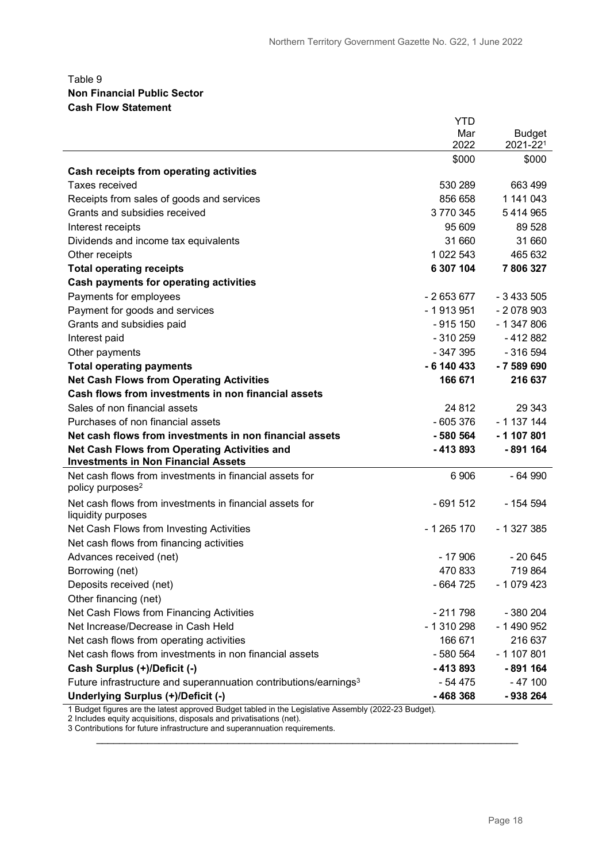#### Table 9 **Non Financial Public Sector Cash Flow Statement**

|                                                                                                   | <b>YTD</b>   |                           |
|---------------------------------------------------------------------------------------------------|--------------|---------------------------|
|                                                                                                   | Mar<br>2022  | <b>Budget</b><br>2021-221 |
|                                                                                                   | \$000        | \$000                     |
| Cash receipts from operating activities                                                           |              |                           |
| <b>Taxes received</b>                                                                             | 530 289      | 663 499                   |
| Receipts from sales of goods and services                                                         | 856 658      | 1 141 043                 |
| Grants and subsidies received                                                                     | 3770345      | 5 4 1 4 9 6 5             |
| Interest receipts                                                                                 | 95 609       | 89 528                    |
| Dividends and income tax equivalents                                                              | 31 660       | 31 660                    |
| Other receipts                                                                                    | 1 022 543    | 465 632                   |
| <b>Total operating receipts</b>                                                                   | 6 307 104    | 7806327                   |
| <b>Cash payments for operating activities</b>                                                     |              |                           |
| Payments for employees                                                                            | $-2653677$   | $-3433505$                |
| Payment for goods and services                                                                    | $-1913951$   | $-2078903$                |
| Grants and subsidies paid                                                                         | $-915150$    | $-1347806$                |
| Interest paid                                                                                     | $-310259$    | $-412882$                 |
| Other payments                                                                                    | - 347 395    | $-316594$                 |
| <b>Total operating payments</b>                                                                   | $-6$ 140 433 | $-7589690$                |
| <b>Net Cash Flows from Operating Activities</b>                                                   | 166 671      | 216 637                   |
| Cash flows from investments in non financial assets                                               |              |                           |
| Sales of non financial assets                                                                     | 24 812       | 29 343                    |
| Purchases of non financial assets                                                                 | $-605376$    | $-1137144$                |
| Net cash flows from investments in non financial assets                                           | - 580 564    | $-1107801$                |
| <b>Net Cash Flows from Operating Activities and</b><br><b>Investments in Non Financial Assets</b> | $-413893$    | -891 164                  |
| Net cash flows from investments in financial assets for<br>policy purposes <sup>2</sup>           | 6 9 0 6      | $-64990$                  |
| Net cash flows from investments in financial assets for<br>liquidity purposes                     | $-691512$    | - 154 594                 |
| Net Cash Flows from Investing Activities                                                          | - 1 265 170  | $-1327385$                |
| Net cash flows from financing activities                                                          |              |                           |
| Advances received (net)                                                                           | $-17906$     | $-20645$                  |
| Borrowing (net)                                                                                   | 470 833      | 719864                    |
| Deposits received (net)                                                                           | - 664 725    | $-1079423$                |
| Other financing (net)                                                                             |              |                           |
| Net Cash Flows from Financing Activities                                                          | $-211798$    | - 380 204                 |
| Net Increase/Decrease in Cash Held                                                                | - 1 310 298  | - 1 490 952               |
| Net cash flows from operating activities                                                          | 166 671      | 216 637                   |
| Net cash flows from investments in non financial assets                                           | $-580564$    | $-1107801$                |
| Cash Surplus (+)/Deficit (-)                                                                      | $-413893$    | -891 164                  |
| Future infrastructure and superannuation contributions/earnings <sup>3</sup>                      | - 54 475     | $-47100$                  |
| Underlying Surplus (+)/Deficit (-)                                                                | $-468368$    | - 938 264                 |

1 Budget figures are the latest approved Budget tabled in the Legislative Assembly (2022-23 Budget).

\_\_\_\_\_\_\_\_\_\_\_\_\_\_\_\_\_\_\_\_\_\_\_\_\_\_\_\_\_\_\_\_\_\_\_\_\_\_\_\_\_\_\_\_\_\_\_\_\_\_\_\_\_\_\_\_\_\_\_\_\_\_\_\_\_\_\_\_\_\_\_\_\_\_

2 Includes equity acquisitions, disposals and privatisations (net).

3 Contributions for future infrastructure and superannuation requirements.